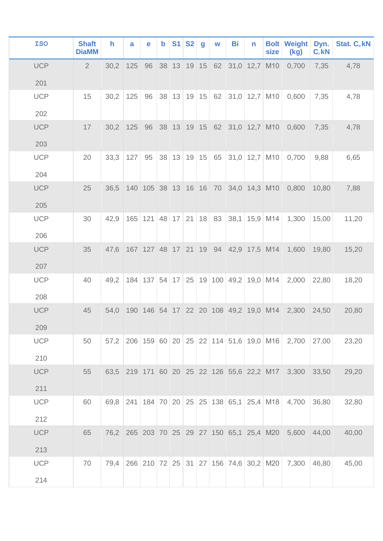| <b>ISO</b>        | <b>Shaft</b><br><b>DiaMM</b> | $\mathsf{h}$ | a      | e                  | $\mathbf b$ | S1 | <b>S2</b> | $\mathbf{g}$ | W              | Bi | n                                     | <b>Bolt</b><br>size                                     | <b>Weight</b><br>(kg) | Dyn.<br>$C_r$ kN | <b>Stat. C. kN</b> |
|-------------------|------------------------------|--------------|--------|--------------------|-------------|----|-----------|--------------|----------------|----|---------------------------------------|---------------------------------------------------------|-----------------------|------------------|--------------------|
| <b>UCP</b>        | $\overline{2}$               | 30,2         | 125 96 |                    |             |    |           |              |                |    | 38 13 19 15 62 31,0 12,7 M10          |                                                         | 0,700                 | 7,35             | 4,78               |
| 201               |                              |              |        |                    |             |    |           |              |                |    |                                       |                                                         |                       |                  |                    |
| <b>UCP</b><br>202 | 15                           | 30,2         | 125    | 96                 |             |    |           |              | 38 13 19 15 62 |    | $31,0$ 12,7 M10                       |                                                         | 0,600                 | 7,35             | 4,78               |
| <b>UCP</b>        | 17                           | 30,2         |        | 125 96             |             |    |           |              |                |    | 38 13 19 15 62 31,0 12,7 M10          |                                                         | 0,600                 | 7,35             | 4,78               |
| 203               |                              |              |        |                    |             |    |           |              |                |    |                                       |                                                         |                       |                  |                    |
| <b>UCP</b>        | 20                           | 33,3         | 127    | 95                 |             |    |           |              | 38 13 19 15 65 |    | $31,0$ 12,7 M10                       |                                                         | 0,700                 | 9,88             | 6,65               |
| 204               |                              |              |        |                    |             |    |           |              |                |    |                                       |                                                         |                       |                  |                    |
| <b>UCP</b>        | 25                           | 36,5         |        |                    |             |    |           |              |                |    | 140 105 38 13 16 16 70 34,0 14,3 M10  |                                                         | 0,800                 | 10,80            | 7,88               |
| 205               |                              |              |        |                    |             |    |           |              |                |    |                                       |                                                         |                       |                  |                    |
| <b>UCP</b><br>206 | 30                           | 42,9         |        | $165$ 121 48 17 21 |             |    |           |              | $18$ 83        |    | $38,1$ 15,9 M14                       |                                                         | 1,300                 | 15,00            | 11,20              |
|                   |                              |              |        |                    |             |    |           |              |                |    |                                       |                                                         |                       |                  |                    |
| <b>UCP</b>        | 35                           | 47,6         |        |                    |             |    |           |              |                |    | 167 127 48 17 21 19 94 42,9 17,5 M14  |                                                         | 1,600                 | 19,80            | 15,20              |
| 207               |                              |              |        |                    |             |    |           |              |                |    |                                       |                                                         |                       |                  |                    |
| <b>UCP</b>        | 40                           | 49,2         |        |                    |             |    |           |              |                |    | 184 137 54 17 25 19 100 49,2 19,0 M14 |                                                         | 2,000                 | 22,80            | 18,20              |
| 208               |                              |              |        |                    |             |    |           |              |                |    |                                       |                                                         |                       |                  |                    |
| <b>UCP</b>        | 45                           | 54,0         |        |                    |             |    |           |              |                |    |                                       | 190 146 54 17 22 20 108 49,2 19,0 M14                   | 2,300                 | 24,50            | 20,80              |
| 209               |                              |              |        |                    |             |    |           |              |                |    |                                       |                                                         |                       |                  |                    |
| <b>UCP</b>        | 50                           | 57,2         |        |                    |             |    |           |              |                |    |                                       | 206 159 60 20 25 22 114 51,6 19,0 M16                   | 2,700                 | 27,00            | 23,20              |
| 210               |                              |              |        |                    |             |    |           |              |                |    |                                       |                                                         |                       |                  |                    |
| <b>UCP</b>        | 55                           |              |        |                    |             |    |           |              |                |    |                                       | 63,5 219 171 60 20 25 22 126 55,6 22,2 M17              | 3,300                 | 33,50            | 29,20              |
| 211               |                              |              |        |                    |             |    |           |              |                |    |                                       |                                                         |                       |                  |                    |
| <b>UCP</b>        | 60                           | 69,8         |        |                    |             |    |           |              |                |    |                                       | 241   184   70   20   25   25   138   65,1   25,4   M18 | 4,700                 | 36,80            | 32,80              |
| 212               |                              |              |        |                    |             |    |           |              |                |    |                                       |                                                         |                       |                  |                    |
| <b>UCP</b>        | 65                           |              |        |                    |             |    |           |              |                |    |                                       | 76,2 265 203 70 25 29 27 150 65,1 25,4 M20              | 5,600                 | 44,00            | 40,00              |
| 213               |                              |              |        |                    |             |    |           |              |                |    |                                       |                                                         |                       |                  |                    |
| <b>UCP</b>        | 70                           | 79,4         |        |                    |             |    |           |              |                |    |                                       | 266 210 72 25 31 27 156 74,6 30,2 M20                   | 7,300                 | 46,80            | 45,00              |
| 214               |                              |              |        |                    |             |    |           |              |                |    |                                       |                                                         |                       |                  |                    |